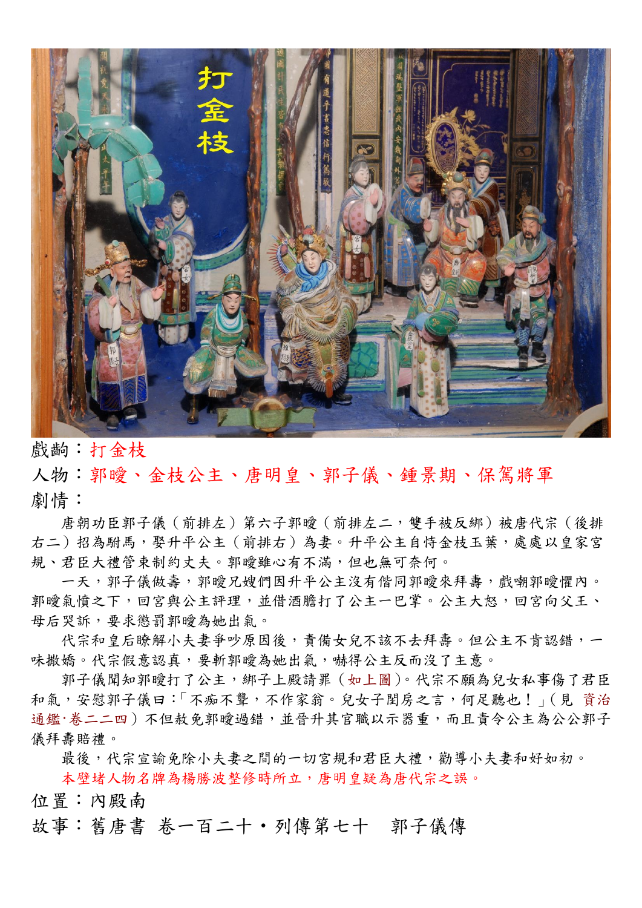

戲齣:打金枝

人物:郭曖、金枝公主、唐明皇、郭子儀、鍾景期、保駕將軍 劇情:

唐朝功臣郭子儀(前排左)第六子郭曖(前排左二,雙手被反綁)被唐代宗(後排 右二)招為駙馬,娶升平公主(前排右)為妻。升平公主自恃金枝玉葉,處處以皇家宮 規、君臣大禮管束制約丈夫。郭曖雖心有不滿,但也無可奈何。

一天,郭子儀做壽,郭曖兄嫂們因升平公主沒有偕同郭曖來拜壽,戲嘲郭曖懼內。 郭暧氣憤之下,回宮與公主評理,並借酒膽打了公主一巴掌。公主大怒,回宮向父王、 母后哭訴,要求懲罰郭曖為她出氣。

代宗和皇后瞭解小夫妻爭吵原因後,責備女兒不該不去拜壽。但公主不肯認錯,一 味撒嬌。代宗假意認真,要斬郭曖為她出氣,嚇得公主反而沒了主意。

郭子儀聞知郭曖打了公主,綁子上殿請罪(如上圖)。代宗不願為兒女私事傷了君臣 和氣,安慰郭子儀曰:「不痴不聾,不作家翁。兒女子閨房之言,何足聽也!」(見 資治 通鑑·卷二二四)不但赦免郭曖過錯,並晉升其官職以示器重,而且責令公主為公公郭子 儀拜毒賠禮。

最後,代宗宣諭免除小夫妻之間的一切宮規和君臣大禮,勸導小夫妻和好如初。 本壁堵人物名牌為楊勝波整修時所立,唐明皇疑為唐代宗之誤。

位置:內殿南

故事:舊唐書 卷一百二十·列傳第七十 郭子儀傳